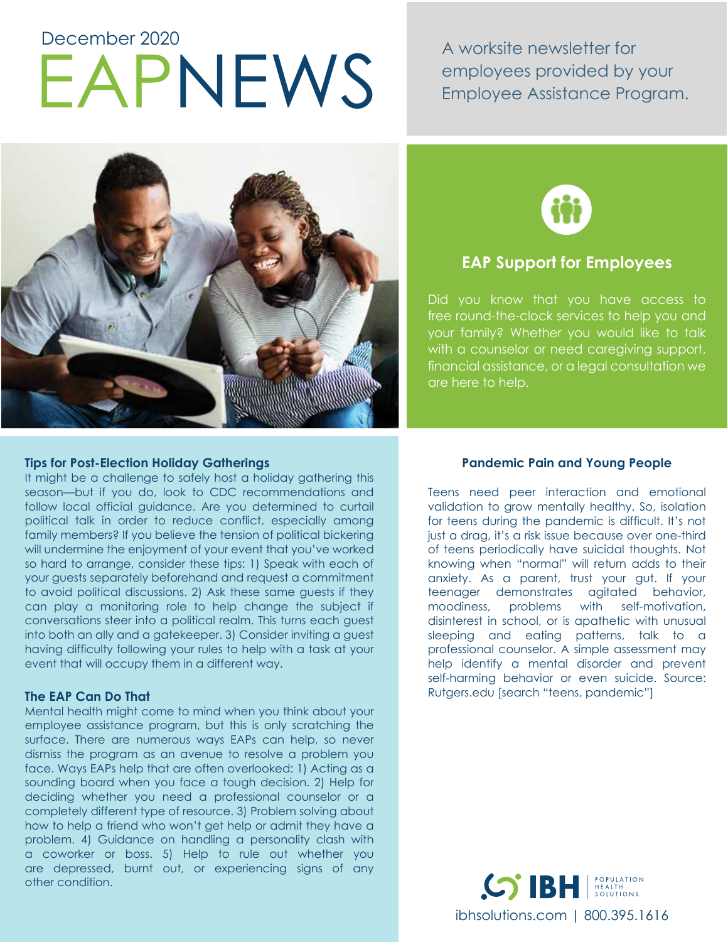# EAPNEWS December 2020

A worksite newsletter for employees provided by your Employee Assistance Program.





# **EAP Support for Employees**

Did you know that you have access to free round-the-clock services to help you and your family? Whether you would like to talk with a counselor or need caregiving support, financial assistance, or a legal consultation we are here to help.

# **Tips for Post-Election Holiday Gatherings**

It might be a challenge to safely host a holiday gathering this season—but if you do, look to CDC recommendations and follow local official guidance. Are you determined to curtail political talk in order to reduce conflict, especially among family members? If you believe the tension of political bickering will undermine the enjoyment of your event that you've worked so hard to arrange, consider these tips: 1) Speak with each of your guests separately beforehand and request a commitment to avoid political discussions. 2) Ask these same guests if they can play a monitoring role to help change the subject if conversations steer into a political realm. This turns each guest into both an ally and a gatekeeper. 3) Consider inviting a guest having difficulty following your rules to help with a task at your event that will occupy them in a different way.

## **The EAP Can Do That**

Mental health might come to mind when you think about your employee assistance program, but this is only scratching the surface. There are numerous ways EAPs can help, so never dismiss the program as an avenue to resolve a problem you face. Ways EAPs help that are often overlooked: 1) Acting as a sounding board when you face a tough decision. 2) Help for deciding whether you need a professional counselor or a completely different type of resource. 3) Problem solving about how to help a friend who won't get help or admit they have a problem. 4) Guidance on handling a personality clash with a coworker or boss. 5) Help to rule out whether you are depressed, burnt out, or experiencing signs of any other condition.

# **Pandemic Pain and Young People**

Teens need peer interaction and emotional validation to grow mentally healthy. So, isolation for teens during the pandemic is difficult. It's not just a drag, it's a risk issue because over one-third of teens periodically have suicidal thoughts. Not knowing when "normal" will return adds to their anxiety. As a parent, trust your gut. If your teenager demonstrates agitated behavior, moodiness, problems with self-motivation, disinterest in school, or is apathetic with unusual sleeping and eating patterns, talk to a professional counselor. A simple assessment may help identify a mental disorder and prevent self-harming behavior or even suicide. Source: Rutgers.edu [search "teens, pandemic"]